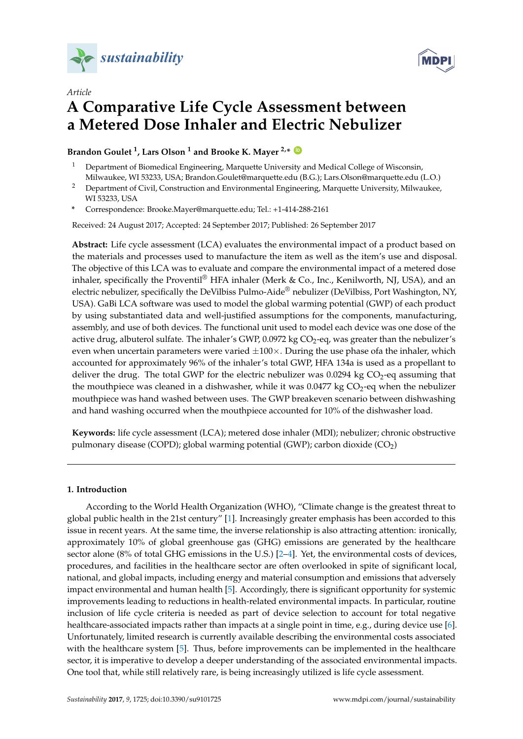



# *Article* **A Comparative Life Cycle Assessment between a Metered Dose Inhaler and Electric Nebulizer**

**Brandon Goulet <sup>1</sup> , Lars Olson <sup>1</sup> and Brooke K. Mayer 2,\* [ID](https://orcid.org/0000-0002-4858-2834)**

- <sup>1</sup> Department of Biomedical Engineering, Marquette University and Medical College of Wisconsin, Milwaukee, WI 53233, USA; Brandon.Goulet@marquette.edu (B.G.); Lars.Olson@marquette.edu (L.O.)
- <sup>2</sup> Department of Civil, Construction and Environmental Engineering, Marquette University, Milwaukee, WI 53233, USA
- **\*** Correspondence: Brooke.Mayer@marquette.edu; Tel.: +1-414-288-2161

Received: 24 August 2017; Accepted: 24 September 2017; Published: 26 September 2017

**Abstract:** Life cycle assessment (LCA) evaluates the environmental impact of a product based on the materials and processes used to manufacture the item as well as the item's use and disposal. The objective of this LCA was to evaluate and compare the environmental impact of a metered dose inhaler, specifically the Proventil<sup>®</sup> HFA inhaler (Merk & Co., Inc., Kenilworth, NJ, USA), and an electric nebulizer, specifically the DeVilbiss Pulmo-Aide® nebulizer (DeVilbiss, Port Washington, NY, USA). GaBi LCA software was used to model the global warming potential (GWP) of each product by using substantiated data and well-justified assumptions for the components, manufacturing, assembly, and use of both devices. The functional unit used to model each device was one dose of the active drug, albuterol sulfate. The inhaler's GWP,  $0.0972$  kg  $CO<sub>2</sub>$ -eq, was greater than the nebulizer's even when uncertain parameters were varied  $\pm 100 \times$ . During the use phase ofa the inhaler, which accounted for approximately 96% of the inhaler's total GWP, HFA 134a is used as a propellant to deliver the drug. The total GWP for the electric nebulizer was 0.0294 kg  $CO<sub>2</sub>$ -eq assuming that the mouthpiece was cleaned in a dishwasher, while it was  $0.0477$  kg  $CO<sub>2</sub>$ -eq when the nebulizer mouthpiece was hand washed between uses. The GWP breakeven scenario between dishwashing and hand washing occurred when the mouthpiece accounted for 10% of the dishwasher load.

**Keywords:** life cycle assessment (LCA); metered dose inhaler (MDI); nebulizer; chronic obstructive pulmonary disease (COPD); global warming potential (GWP); carbon dioxide (CO<sub>2</sub>)

## **1. Introduction**

According to the World Health Organization (WHO), "Climate change is the greatest threat to global public health in the 21st century" [\[1\]](#page-11-0). Increasingly greater emphasis has been accorded to this issue in recent years. At the same time, the inverse relationship is also attracting attention: ironically, approximately 10% of global greenhouse gas (GHG) emissions are generated by the healthcare sector alone (8% of total GHG emissions in the U.S.) [\[2–](#page-11-1)[4\]](#page-11-2). Yet, the environmental costs of devices, procedures, and facilities in the healthcare sector are often overlooked in spite of significant local, national, and global impacts, including energy and material consumption and emissions that adversely impact environmental and human health [\[5\]](#page-11-3). Accordingly, there is significant opportunity for systemic improvements leading to reductions in health-related environmental impacts. In particular, routine inclusion of life cycle criteria is needed as part of device selection to account for total negative healthcare-associated impacts rather than impacts at a single point in time, e.g., during device use [\[6\]](#page-11-4). Unfortunately, limited research is currently available describing the environmental costs associated with the healthcare system [\[5\]](#page-11-3). Thus, before improvements can be implemented in the healthcare sector, it is imperative to develop a deeper understanding of the associated environmental impacts. One tool that, while still relatively rare, is being increasingly utilized is life cycle assessment.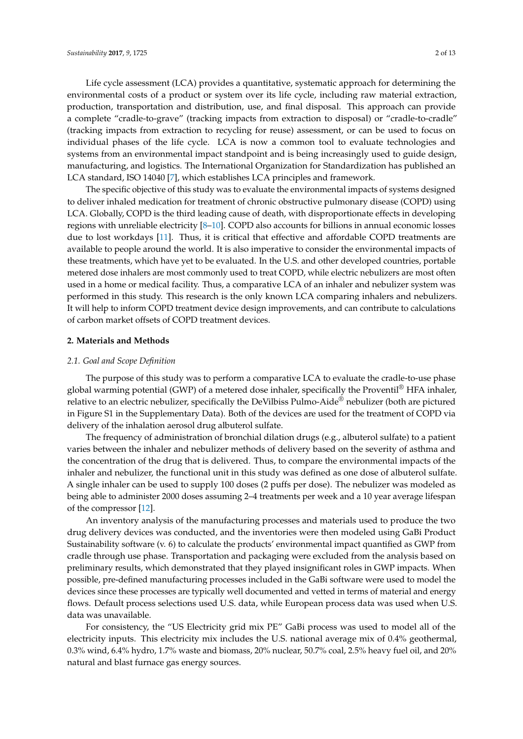Life cycle assessment (LCA) provides a quantitative, systematic approach for determining the environmental costs of a product or system over its life cycle, including raw material extraction, production, transportation and distribution, use, and final disposal. This approach can provide a complete "cradle-to-grave" (tracking impacts from extraction to disposal) or "cradle-to-cradle" (tracking impacts from extraction to recycling for reuse) assessment, or can be used to focus on individual phases of the life cycle. LCA is now a common tool to evaluate technologies and systems from an environmental impact standpoint and is being increasingly used to guide design, manufacturing, and logistics. The International Organization for Standardization has published an LCA standard, ISO 14040 [\[7\]](#page-11-5), which establishes LCA principles and framework.

The specific objective of this study was to evaluate the environmental impacts of systems designed to deliver inhaled medication for treatment of chronic obstructive pulmonary disease (COPD) using LCA. Globally, COPD is the third leading cause of death, with disproportionate effects in developing regions with unreliable electricity [\[8](#page-11-6)[–10\]](#page-11-7). COPD also accounts for billions in annual economic losses due to lost workdays [\[11\]](#page-11-8). Thus, it is critical that effective and affordable COPD treatments are available to people around the world. It is also imperative to consider the environmental impacts of these treatments, which have yet to be evaluated. In the U.S. and other developed countries, portable metered dose inhalers are most commonly used to treat COPD, while electric nebulizers are most often used in a home or medical facility. Thus, a comparative LCA of an inhaler and nebulizer system was performed in this study. This research is the only known LCA comparing inhalers and nebulizers. It will help to inform COPD treatment device design improvements, and can contribute to calculations of carbon market offsets of COPD treatment devices.

## **2. Materials and Methods**

#### *2.1. Goal and Scope Definition*

The purpose of this study was to perform a comparative LCA to evaluate the cradle-to-use phase global warming potential (GWP) of a metered dose inhaler, specifically the Proventil<sup>®</sup> HFA inhaler, relative to an electric nebulizer, specifically the DeVilbiss Pulmo-Aide® nebulizer (both are pictured in Figure S1 in the Supplementary Data). Both of the devices are used for the treatment of COPD via delivery of the inhalation aerosol drug albuterol sulfate.

The frequency of administration of bronchial dilation drugs (e.g., albuterol sulfate) to a patient varies between the inhaler and nebulizer methods of delivery based on the severity of asthma and the concentration of the drug that is delivered. Thus, to compare the environmental impacts of the inhaler and nebulizer, the functional unit in this study was defined as one dose of albuterol sulfate. A single inhaler can be used to supply 100 doses (2 puffs per dose). The nebulizer was modeled as being able to administer 2000 doses assuming 2–4 treatments per week and a 10 year average lifespan of the compressor [\[12\]](#page-11-9).

An inventory analysis of the manufacturing processes and materials used to produce the two drug delivery devices was conducted, and the inventories were then modeled using GaBi Product Sustainability software (v. 6) to calculate the products' environmental impact quantified as GWP from cradle through use phase. Transportation and packaging were excluded from the analysis based on preliminary results, which demonstrated that they played insignificant roles in GWP impacts. When possible, pre-defined manufacturing processes included in the GaBi software were used to model the devices since these processes are typically well documented and vetted in terms of material and energy flows. Default process selections used U.S. data, while European process data was used when U.S. data was unavailable.

For consistency, the "US Electricity grid mix PE" GaBi process was used to model all of the electricity inputs. This electricity mix includes the U.S. national average mix of 0.4% geothermal, 0.3% wind, 6.4% hydro, 1.7% waste and biomass, 20% nuclear, 50.7% coal, 2.5% heavy fuel oil, and 20% natural and blast furnace gas energy sources.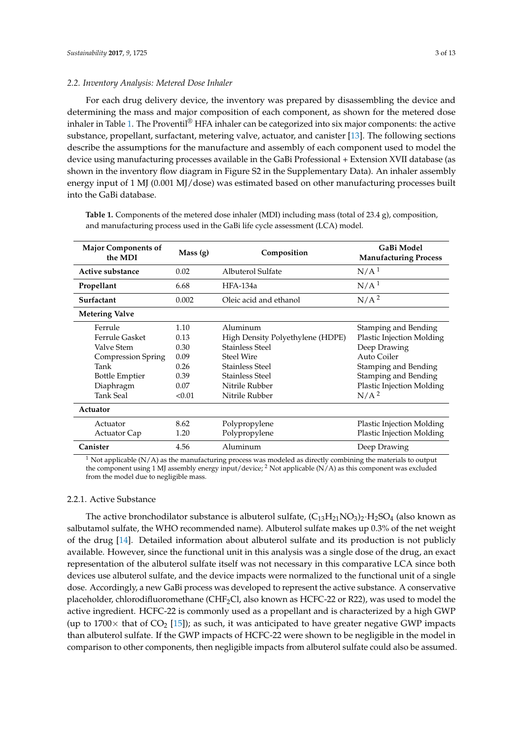#### *2.2. Inventory Analysis: Metered Dose Inhaler*

For each drug delivery device, the inventory was prepared by disassembling the device and determining the mass and major composition of each component, as shown for the metered dose inhaler in Table [1.](#page-2-0) The Proventil<sup>®</sup> HFA inhaler can be categorized into six major components: the active substance, propellant, surfactant, metering valve, actuator, and canister [\[13\]](#page-11-10). The following sections describe the assumptions for the manufacture and assembly of each component used to model the device using manufacturing processes available in the GaBi Professional + Extension XVII database (as shown in the inventory flow diagram in Figure S2 in the Supplementary Data). An inhaler assembly energy input of 1 MJ (0.001 MJ/dose) was estimated based on other manufacturing processes built into the GaBi database.

| <b>Major Components of</b><br>the MDI | Mass(g) | Composition                      | GaBi Model<br><b>Manufacturing Process</b> |
|---------------------------------------|---------|----------------------------------|--------------------------------------------|
| Active substance                      | 0.02    | Albuterol Sulfate                | N/A <sup>1</sup>                           |
| Propellant                            | 6.68    | HFA-134a                         | N/A <sup>1</sup>                           |
| Surfactant                            | 0.002   | Oleic acid and ethanol           | N/A <sup>2</sup>                           |
| <b>Metering Valve</b>                 |         |                                  |                                            |
| Ferrule                               | 1.10    | Aluminum                         | Stamping and Bending                       |
| Ferrule Gasket                        | 0.13    | High Density Polyethylene (HDPE) | <b>Plastic Injection Molding</b>           |
| Valve Stem                            | 0.30    | Stainless Steel                  | Deep Drawing                               |
| <b>Compression Spring</b>             | 0.09    | Steel Wire                       | Auto Coiler                                |
| Tank                                  | 0.26    | Stainless Steel                  | <b>Stamping and Bending</b>                |
| <b>Bottle Emptier</b>                 | 0.39    | <b>Stainless Steel</b>           | Stamping and Bending                       |
| Diaphragm                             | 0.07    | Nitrile Rubber                   | Plastic Injection Molding                  |
| <b>Tank Seal</b>                      | < 0.01  | Nitrile Rubber                   | N/A <sup>2</sup>                           |
| Actuator                              |         |                                  |                                            |
| Actuator                              | 8.62    | Polypropylene                    | Plastic Injection Molding                  |
| <b>Actuator Cap</b>                   | 1.20    | Polypropylene                    | Plastic Injection Molding                  |
| Canister                              | 4.56    | Aluminum                         | Deep Drawing                               |

<span id="page-2-0"></span>**Table 1.** Components of the metered dose inhaler (MDI) including mass (total of 23.4 g), composition, and manufacturing process used in the GaBi life cycle assessment (LCA) model.

<sup>1</sup> Not applicable (N/A) as the manufacturing process was modeled as directly combining the materials to output the component using 1 MJ assembly energy input/device; <sup>2</sup> Not applicable (N/A) as this component was excluded from the model due to negligible mass.

#### 2.2.1. Active Substance

The active bronchodilator substance is albuterol sulfate,  $(C_{13}H_{21}NO_3)$ <sup>2</sup>·H<sub>2</sub>SO<sub>4</sub> (also known as salbutamol sulfate, the WHO recommended name). Albuterol sulfate makes up 0.3% of the net weight of the drug [\[14\]](#page-11-11). Detailed information about albuterol sulfate and its production is not publicly available. However, since the functional unit in this analysis was a single dose of the drug, an exact representation of the albuterol sulfate itself was not necessary in this comparative LCA since both devices use albuterol sulfate, and the device impacts were normalized to the functional unit of a single dose. Accordingly, a new GaBi process was developed to represent the active substance. A conservative placeholder, chlorodifluoromethane (CHF2Cl, also known as HCFC-22 or R22), was used to model the active ingredient. HCFC-22 is commonly used as a propellant and is characterized by a high GWP (up to  $1700\times$  that of CO<sub>2</sub> [\[15\]](#page-12-0)); as such, it was anticipated to have greater negative GWP impacts than albuterol sulfate. If the GWP impacts of HCFC-22 were shown to be negligible in the model in comparison to other components, then negligible impacts from albuterol sulfate could also be assumed.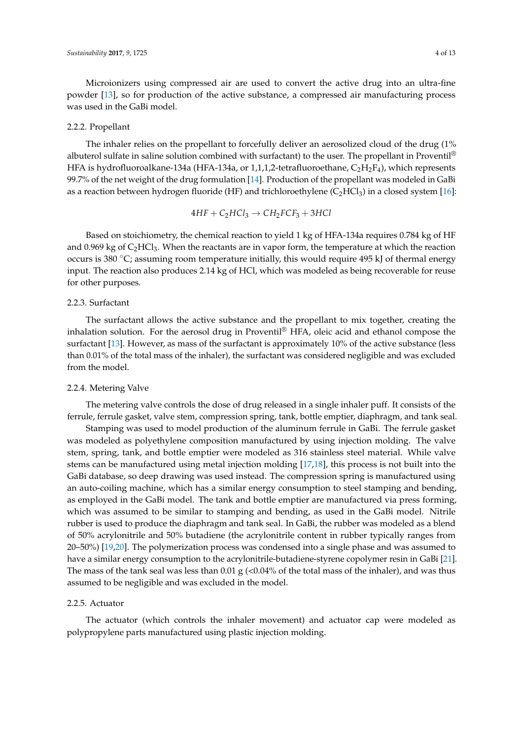Microionizers using compressed air are used to convert the active drug into an ultra-fine powder [\[13\]](#page-11-10), so for production of the active substance, a compressed air manufacturing process was used in the GaBi model.

#### 2.2.2. Propellant

The inhaler relies on the propellant to forcefully deliver an aerosolized cloud of the drug (1% albuterol sulfate in saline solution combined with surfactant) to the user. The propellant in Proventil<sup>®</sup> HFA is hydrofluoroalkane-134a (HFA-134a, or 1,1,1,2-tetrafluoroethane,  $C_2H_2F_4$ ), which represents 99.7% of the net weight of the drug formulation [\[14\]](#page-11-11). Production of the propellant was modeled in GaBi as a reaction between hydrogen fluoride (HF) and trichloroethylene  $(C_2HCl_3)$  in a closed system [\[16\]](#page-12-1):

$$
4HF + C_2HCl_3 \rightarrow CH_2FCF_3 + 3HCl
$$

Based on stoichiometry, the chemical reaction to yield 1 kg of HFA-134a requires 0.784 kg of HF and 0.969 kg of  $C_2HCl_3$ . When the reactants are in vapor form, the temperature at which the reaction occurs is 380 ◦C; assuming room temperature initially, this would require 495 kJ of thermal energy input. The reaction also produces 2.14 kg of HCl, which was modeled as being recoverable for reuse for other purposes.

## 2.2.3. Surfactant

The surfactant allows the active substance and the propellant to mix together, creating the inhalation solution. For the aerosol drug in Proventil® HFA, oleic acid and ethanol compose the surfactant [\[13\]](#page-11-10). However, as mass of the surfactant is approximately 10% of the active substance (less than 0.01% of the total mass of the inhaler), the surfactant was considered negligible and was excluded from the model.

#### 2.2.4. Metering Valve

The metering valve controls the dose of drug released in a single inhaler puff. It consists of the ferrule, ferrule gasket, valve stem, compression spring, tank, bottle emptier, diaphragm, and tank seal.

Stamping was used to model production of the aluminum ferrule in GaBi. The ferrule gasket was modeled as polyethylene composition manufactured by using injection molding. The valve stem, spring, tank, and bottle emptier were modeled as 316 stainless steel material. While valve stems can be manufactured using metal injection molding [\[17,](#page-12-2)[18\]](#page-12-3), this process is not built into the GaBi database, so deep drawing was used instead. The compression spring is manufactured using an auto-coiling machine, which has a similar energy consumption to steel stamping and bending, as employed in the GaBi model. The tank and bottle emptier are manufactured via press forming, which was assumed to be similar to stamping and bending, as used in the GaBi model. Nitrile rubber is used to produce the diaphragm and tank seal. In GaBi, the rubber was modeled as a blend of 50% acrylonitrile and 50% butadiene (the acrylonitrile content in rubber typically ranges from 20–50%) [\[19](#page-12-4)[,20\]](#page-12-5). The polymerization process was condensed into a single phase and was assumed to have a similar energy consumption to the acrylonitrile-butadiene-styrene copolymer resin in GaBi [\[21\]](#page-12-6). The mass of the tank seal was less than 0.01 g (<0.04% of the total mass of the inhaler), and was thus assumed to be negligible and was excluded in the model.

#### 2.2.5. Actuator

The actuator (which controls the inhaler movement) and actuator cap were modeled as polypropylene parts manufactured using plastic injection molding.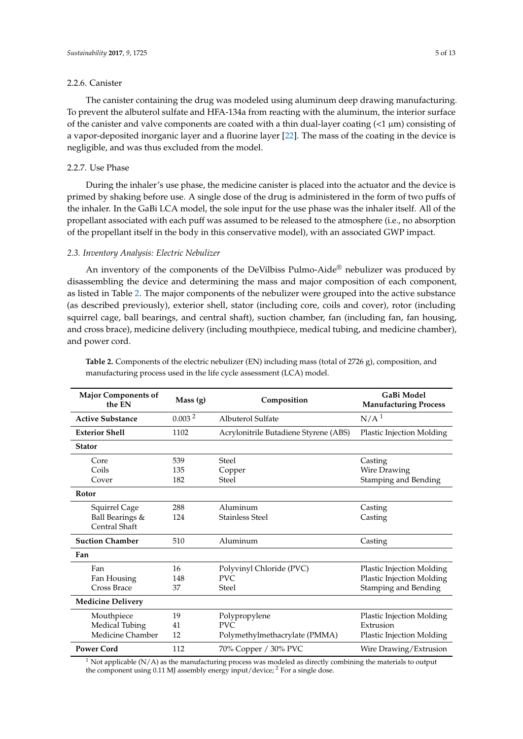## 2.2.6. Canister

The canister containing the drug was modeled using aluminum deep drawing manufacturing. To prevent the albuterol sulfate and HFA-134a from reacting with the aluminum, the interior surface of the canister and valve components are coated with a thin dual-layer coating  $\left($  \le 1 \le um) consisting of a vapor-deposited inorganic layer and a fluorine layer [\[22\]](#page-12-7). The mass of the coating in the device is negligible, and was thus excluded from the model.

## 2.2.7. Use Phase

During the inhaler's use phase, the medicine canister is placed into the actuator and the device is primed by shaking before use. A single dose of the drug is administered in the form of two puffs of the inhaler. In the GaBi LCA model, the sole input for the use phase was the inhaler itself. All of the propellant associated with each puff was assumed to be released to the atmosphere (i.e., no absorption of the propellant itself in the body in this conservative model), with an associated GWP impact.

#### *2.3. Inventory Analysis: Electric Nebulizer*

An inventory of the components of the DeVilbiss Pulmo-Aide® nebulizer was produced by disassembling the device and determining the mass and major composition of each component, as listed in Table [2.](#page-4-0) The major components of the nebulizer were grouped into the active substance (as described previously), exterior shell, stator (including core, coils and cover), rotor (including squirrel cage, ball bearings, and central shaft), suction chamber, fan (including fan, fan housing, and cross brace), medicine delivery (including mouthpiece, medical tubing, and medicine chamber), and power cord.

| <b>Major Components of</b><br>the EN | Mass (g)           | Composition                           | GaBi Model<br><b>Manufacturing Process</b> |
|--------------------------------------|--------------------|---------------------------------------|--------------------------------------------|
| <b>Active Substance</b>              | 0.003 <sup>2</sup> | Albuterol Sulfate                     | N/A <sup>1</sup>                           |
| <b>Exterior Shell</b>                | 1102               | Acrylonitrile Butadiene Styrene (ABS) | <b>Plastic Injection Molding</b>           |
| <b>Stator</b>                        |                    |                                       |                                            |
| Core                                 | 539                | Steel                                 | Casting                                    |
| Coils                                | 135                | Copper                                | Wire Drawing                               |
| Cover                                | 182                | <b>Steel</b>                          | Stamping and Bending                       |
| Rotor                                |                    |                                       |                                            |
| Squirrel Cage                        | 288                | Aluminum                              | Casting                                    |
| Ball Bearings &                      | 124                | <b>Stainless Steel</b>                | Casting                                    |
| Central Shaft                        |                    |                                       |                                            |
| <b>Suction Chamber</b>               | 510                | Aluminum                              | Casting                                    |
| Fan                                  |                    |                                       |                                            |
| Fan                                  | 16                 | Polyvinyl Chloride (PVC)              | <b>Plastic Injection Molding</b>           |
| Fan Housing                          | 148                | PVC.                                  | Plastic Injection Molding                  |
| Cross Brace                          | 37                 | <b>Steel</b>                          | Stamping and Bending                       |
| <b>Medicine Delivery</b>             |                    |                                       |                                            |
| Mouthpiece                           | 19                 | Polypropylene                         | <b>Plastic Injection Molding</b>           |
| <b>Medical Tubing</b>                | 41                 | PVC.                                  | Extrusion                                  |
| Medicine Chamber                     | 12                 | Polymethylmethacrylate (PMMA)         | <b>Plastic Injection Molding</b>           |
| <b>Power Cord</b>                    | 112                | 70% Copper / 30% PVC                  | Wire Drawing/Extrusion                     |

<span id="page-4-0"></span>**Table 2.** Components of the electric nebulizer (EN) including mass (total of 2726 g), composition, and manufacturing process used in the life cycle assessment (LCA) model.

<sup>1</sup> Not applicable (N/A) as the manufacturing process was modeled as directly combining the materials to output the component using 0.11 MJ assembly energy input/device; <sup>2</sup> For a single dose.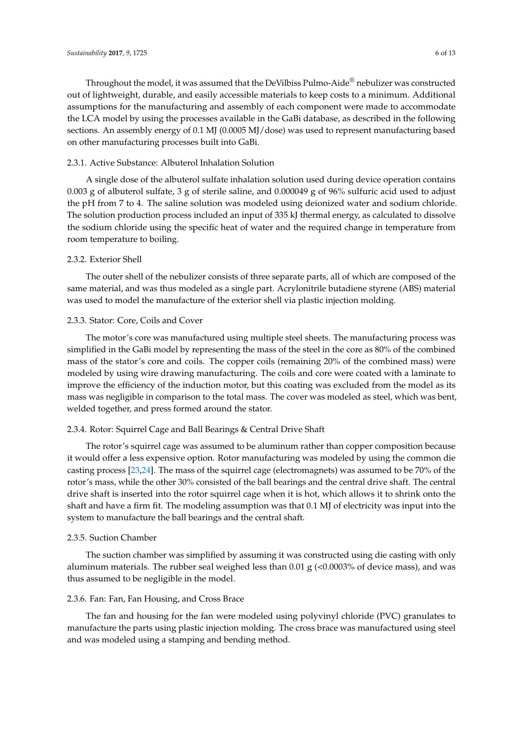Throughout the model, it was assumed that the DeVilbiss Pulmo-Aide® nebulizer was constructed out of lightweight, durable, and easily accessible materials to keep costs to a minimum. Additional assumptions for the manufacturing and assembly of each component were made to accommodate the LCA model by using the processes available in the GaBi database, as described in the following sections. An assembly energy of 0.1 MJ (0.0005 MJ/dose) was used to represent manufacturing based on other manufacturing processes built into GaBi.

## 2.3.1. Active Substance: Albuterol Inhalation Solution

A single dose of the albuterol sulfate inhalation solution used during device operation contains 0.003 g of albuterol sulfate, 3 g of sterile saline, and 0.000049 g of 96% sulfuric acid used to adjust the pH from 7 to 4. The saline solution was modeled using deionized water and sodium chloride. The solution production process included an input of 335 kJ thermal energy, as calculated to dissolve the sodium chloride using the specific heat of water and the required change in temperature from room temperature to boiling.

## 2.3.2. Exterior Shell

The outer shell of the nebulizer consists of three separate parts, all of which are composed of the same material, and was thus modeled as a single part. Acrylonitrile butadiene styrene (ABS) material was used to model the manufacture of the exterior shell via plastic injection molding.

## 2.3.3. Stator: Core, Coils and Cover

The motor's core was manufactured using multiple steel sheets. The manufacturing process was simplified in the GaBi model by representing the mass of the steel in the core as 80% of the combined mass of the stator's core and coils. The copper coils (remaining 20% of the combined mass) were modeled by using wire drawing manufacturing. The coils and core were coated with a laminate to improve the efficiency of the induction motor, but this coating was excluded from the model as its mass was negligible in comparison to the total mass. The cover was modeled as steel, which was bent, welded together, and press formed around the stator.

#### 2.3.4. Rotor: Squirrel Cage and Ball Bearings & Central Drive Shaft

The rotor's squirrel cage was assumed to be aluminum rather than copper composition because it would offer a less expensive option. Rotor manufacturing was modeled by using the common die casting process [\[23](#page-12-8)[,24\]](#page-12-9). The mass of the squirrel cage (electromagnets) was assumed to be 70% of the rotor's mass, while the other 30% consisted of the ball bearings and the central drive shaft. The central drive shaft is inserted into the rotor squirrel cage when it is hot, which allows it to shrink onto the shaft and have a firm fit. The modeling assumption was that 0.1 MJ of electricity was input into the system to manufacture the ball bearings and the central shaft.

#### 2.3.5. Suction Chamber

The suction chamber was simplified by assuming it was constructed using die casting with only aluminum materials. The rubber seal weighed less than 0.01  $g$  (<0.0003% of device mass), and was thus assumed to be negligible in the model.

## 2.3.6. Fan: Fan, Fan Housing, and Cross Brace

The fan and housing for the fan were modeled using polyvinyl chloride (PVC) granulates to manufacture the parts using plastic injection molding. The cross brace was manufactured using steel and was modeled using a stamping and bending method.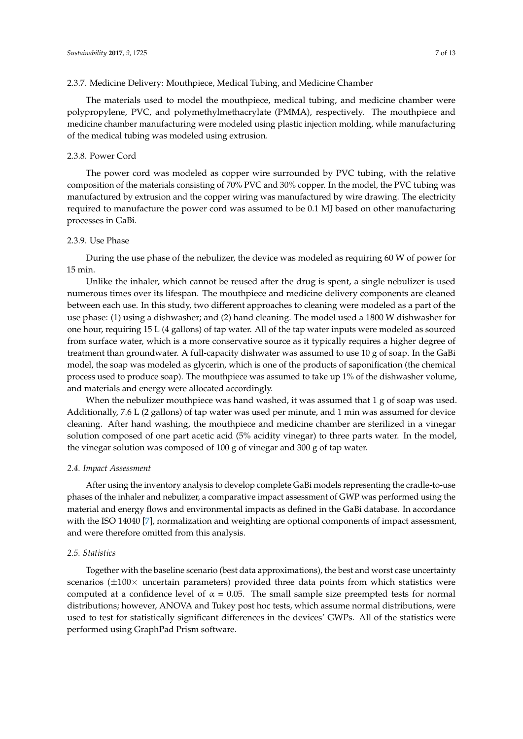The materials used to model the mouthpiece, medical tubing, and medicine chamber were polypropylene, PVC, and polymethylmethacrylate (PMMA), respectively. The mouthpiece and medicine chamber manufacturing were modeled using plastic injection molding, while manufacturing of the medical tubing was modeled using extrusion.

#### 2.3.8. Power Cord

The power cord was modeled as copper wire surrounded by PVC tubing, with the relative composition of the materials consisting of 70% PVC and 30% copper. In the model, the PVC tubing was manufactured by extrusion and the copper wiring was manufactured by wire drawing. The electricity required to manufacture the power cord was assumed to be 0.1 MJ based on other manufacturing processes in GaBi.

## 2.3.9. Use Phase

During the use phase of the nebulizer, the device was modeled as requiring 60 W of power for 15 min.

Unlike the inhaler, which cannot be reused after the drug is spent, a single nebulizer is used numerous times over its lifespan. The mouthpiece and medicine delivery components are cleaned between each use. In this study, two different approaches to cleaning were modeled as a part of the use phase: (1) using a dishwasher; and (2) hand cleaning. The model used a 1800 W dishwasher for one hour, requiring 15 L (4 gallons) of tap water. All of the tap water inputs were modeled as sourced from surface water, which is a more conservative source as it typically requires a higher degree of treatment than groundwater. A full-capacity dishwater was assumed to use 10 g of soap. In the GaBi model, the soap was modeled as glycerin, which is one of the products of saponification (the chemical process used to produce soap). The mouthpiece was assumed to take up 1% of the dishwasher volume, and materials and energy were allocated accordingly.

When the nebulizer mouthpiece was hand washed, it was assumed that 1 g of soap was used. Additionally, 7.6 L (2 gallons) of tap water was used per minute, and 1 min was assumed for device cleaning. After hand washing, the mouthpiece and medicine chamber are sterilized in a vinegar solution composed of one part acetic acid (5% acidity vinegar) to three parts water. In the model, the vinegar solution was composed of 100 g of vinegar and 300 g of tap water.

#### *2.4. Impact Assessment*

After using the inventory analysis to develop complete GaBi models representing the cradle-to-use phases of the inhaler and nebulizer, a comparative impact assessment of GWP was performed using the material and energy flows and environmental impacts as defined in the GaBi database. In accordance with the ISO 14040 [\[7\]](#page-11-5), normalization and weighting are optional components of impact assessment, and were therefore omitted from this analysis.

## *2.5. Statistics*

Together with the baseline scenario (best data approximations), the best and worst case uncertainty scenarios ( $\pm 100 \times$  uncertain parameters) provided three data points from which statistics were computed at a confidence level of  $\alpha = 0.05$ . The small sample size preempted tests for normal distributions; however, ANOVA and Tukey post hoc tests, which assume normal distributions, were used to test for statistically significant differences in the devices' GWPs. All of the statistics were performed using GraphPad Prism software.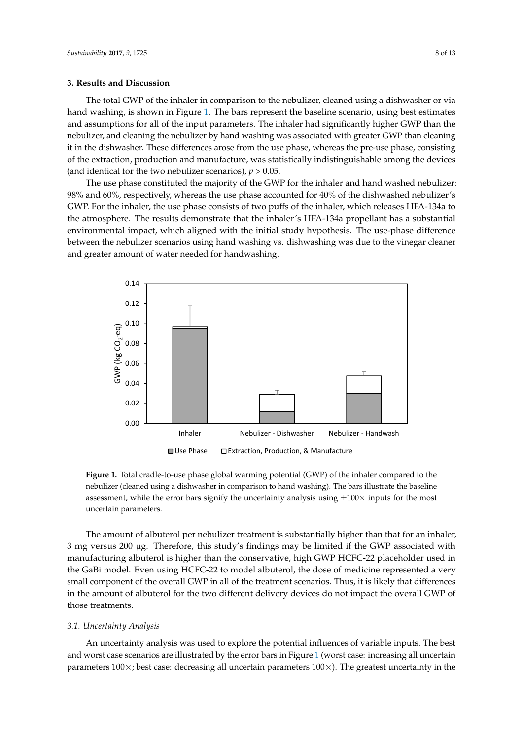#### **3. Results and Discussion**

The total GWP of the inhaler in comparison to the nebulizer, cleaned using a dishwasher or via *Sustainability* **2017**, *9*, 1725 8 of 13 hand washing, is shown in Figure [1.](#page-7-0) The bars represent the baseline scenario, using best estimates and assumptions for all of the input parameters. The inhaler had significantly higher GWP than the nebulizer, and cleaning the nebulizer by hand washing was associated with greater GWP than cleaning nebulizer, and cleaning the nebulizer by hand washing was associated with greater GWP than it in the dishwasher. These differences arose from the use phase, whereas the pre-use phase, consisting of the extraction, production and manufacture, was statistically indistinguishable among the devices (and identical for the two nebulizer scenarios),  $p > 0.05$ .

The use phase constituted the majority of the GWP for the inhaler and hand washed nebulizer: The use phase constituted the majority of the GWP for the inhaler and hand washed nebulizer: 98% and 60%, respectively, whereas the use phase accounted for 40% of the dishwashed nebulizer's 98% and 60%, respectively, whereas the use phase accounted for 40% of the dishwashed nebulizer's GWP. For the inhaler, the use phase consists of two puffs of the inhaler, which releases HFA-134a to GWP. For the inhaler, the use phase consists of two puffs of the inhaler, which releases HFA-134a to the atmosphere. The results demonstrate that the inhaler's HFA-134a propellant has a substantial the atmosphere. The results demonstrate that the inhaler's HFA-134a propellant has a substantial environmental impact, which aligned with the initial study hypothesis. The use-phase difference environmental impact, which aligned with the initial study hypothesis. The use-phase difference between the nebulizer scenarios using hand washing vs. dishwashing was due to the vinegar cleaner between the nebulizer scenarios using hand washing vs. dishwashing was due to the vinegar cleaner and greater amount of water needed for handwashing. and greater amount of water needed for handwashing.

<span id="page-7-0"></span>

**FIGURE 1.** Total crace potential comparison of the independent of the independent of the independent of the intervals in comparison to hand washing). The bars illustrate the baseline assessment, while the error bars signify the uncertainty analysis using  $\pm 100\times$  inputs for the most  $\mathbf{b}$  assessment, while the error bars signify the uncertainty  $\mathbf{b}$  in puts for the properties  $\mathbf{b}$ most uncertain parameters. **Figure 1.** Total cradle-to-use phase global warming potential (GWP) of the inhaler compared to the uncertain parameters.

The amount of albuterol per nebulizer treatment is substantially higher than that for an inhaler, The amount of albuterol per nebulizer treatment is substantially higher than that for an inhaler, 3 mg versus 200 μg. Therefore, this study's findings may be limited if the GWP associated with 3 mg versus 200 µg. Therefore, this study's findings may be limited if the GWP associated with manufacturing albuterol is higher than the conservative, high GWP HCFC-22 placeholder used in the manufacturing albuterol is higher than the conservative, high GWP HCFC-22 placeholder used in the GaBi model. Even using HCFC-22 to model albuterol, the dose of medicine represented a very small component of the overall GWP in all of the treatment scenarios. Thus, it is likely that differences in the amount of albuterol for the two different delivery devices do not impact the overall GWP of those treatments.

## *3.1. Uncertainty Analysis 3.1. Uncertainty Analysis*

An uncertainty analysis was used to explore the potential influences of variable inputs. The best  $\mathbb{R}$ and worst case scenarios are illustrated by the error bars in Figure 1 (worst case: increasing all and worst case scenarios are illustrated by the error bars in Figure [1](#page-7-0) (worst case: increasing all uncertain parameters  $100\times$ ; best case: decreasing all uncertain parameters  $100\times$ ). The greatest uncertainty in the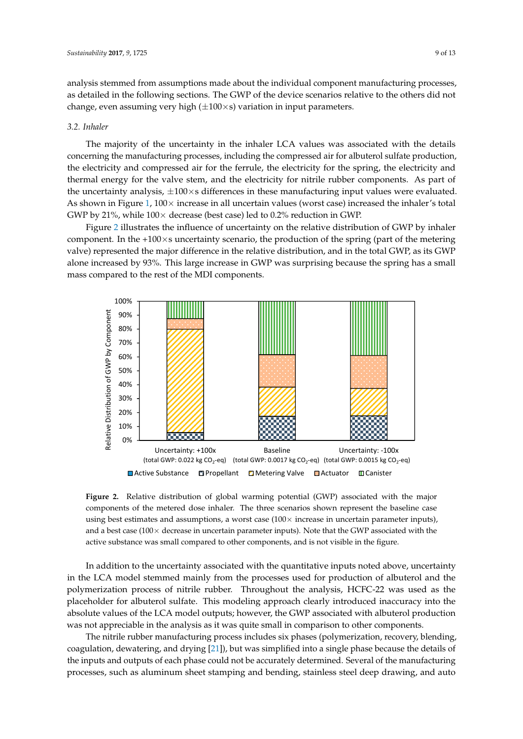analysis stemmed from assumptions made about the individual component manufacturing processes, as detailed in the following sections. The GWP of the device scenarios relative to the others did not *change, even assuming very high (* $\pm 100 \times s$ *) variation in input parameters.* 

## *3.2. Inhaler 3.2. Inhaler*

The majority of the uncertainty in the inhaler LCA values was associated with the details The majority of the uncertainty in the inhaler LCA values was associated with the details concerning the manufacturing processes, including the compressed air for albuterol sulfate production, the electricity and compressed air for the ferrule, the electricity for the spring, the electricity and thermal energy for the valve stem, and the electricity for nitrile rubber components. As part of the uncertainty analysis,  $\pm 100 \times s$  differences in these manufacturing input values were evaluated. As show[n](#page-7-0) in Figure 1,  $100 \times$  increase in all uncertain values (worst case) increased the inhaler's total GWP by 21%, while  $100\times$  decrease (best case) led to 0.2% reduction in GWP.

Figure 2 illustrates the influence of uncertainty on the relative distribution of GWP by inhaler Figure [2 i](#page-8-0)llustrates the influence of uncertainty on the relative distribution of GWP by inhaler component. In the +100×s uncertainty scenario, the production of the spring (part of the metering component. In the +100×s uncertainty scenario, the production of the spring (part of the metering valve) represented the major difference in the relative distribution, and in the total GWP, as its GWP alone increased by 93%. This large increase in GWP was surprising because the spring has a small alone increased by 93%. This large increase in GWP was surprising because the spring has a small mass compared to the rest of the MDI components. mass compared to the rest of the MDI components.

<span id="page-8-0"></span>

components of the metered dose inhaler. The three scenarios shown represent the baseline case using best estimates and assumptions, a worst case (100 $\times$  increase in uncertain parameter inputs), and a best case (100 $\times$  decrease in uncertain parameter inputs). Note that the GWP associated with the active substance was small compared to other components, and is not visible in the figure. substance was small compared to other components, and is not visible in the figure. **Figure 2.** Relative distribution of global warming potential (GWP) associated with the major

In addition to the uncertainty associated with the quantitative inputs noted above, uncertainty  $I_{\text{tot}}$ in the LCA model stemmed mainly from the processes used for production of albuterol and the late of the late of the late of the late of the late of the late of the late of the late of the late of the late of the late of th polymerization process of nitrile rubber. Throughout the analysis, HCFC-22 was used as the polymerization process of nitrile rubber. Throughout the analysis, HCFC-22 was used as the placeholder for albuterol sulfate. This modeling approach clearly introduced inaccuracy into the placeholder for albuterol sulfate. This modeling approach clearly introduced inaccuracy into the absolute values of the LCA model outputs; however, the GWP associated with albuterol production absolute values of the LCA model outputs; however, the GWP associated with albuterol production was not appreciable in the analysis as it was quite small in comparison to other components.

The nitrile rubber manufacturing process includes six phases (polymerization, recovery, blending, blending, coagulation, dewatering, and drying [21]), but was simplified into a single phase because the inputs and outputs of each phase could not be accurately determined. Several of the manufacturing processes, such as aluminum sheet stamping and bending, stainless steel deep drawing, and auto coagulation, dewatering, and drying [\[21\]](#page-12-6)), but was simplified into a single phase because the details of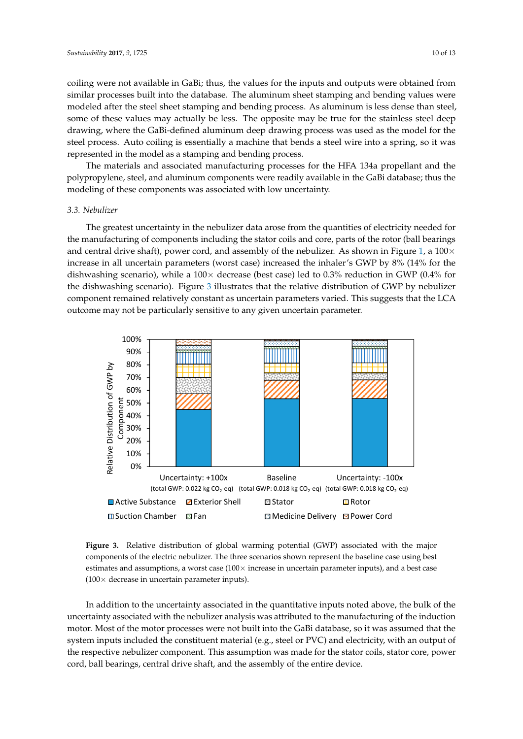coiling were not available in GaBi; thus, the values for the inputs and outputs were obtained from similar processes built into the database. The aluminum sheet stamping and bending values were modeled after the steel sheet stamping and bending process. As aluminum is less dense than steel, some of these values may actually be less. The opposite may be true for the stainless steel deep drawing, where the GaBi-defined aluminum deep drawing process was used as the model for the steel process. Auto coiling is essentially a machine that bends a steel wire into a spring, so it was represented in the model as a stamping and bending process.

The materials and associated manufacturing processes for the HFA 134a propellant and the The materials and associated manufacturing processes for the HFA 134a propellant and the polypropylene, steel, and aluminum components were readily available in the GaBi database; thus the polypropylene, steel, and aluminum components were readily available in the GaBi database; thus modeling of these components was associated with low uncertainty.

## *3.3. Nebulizer 3.3. Nebulizer*

The greatest uncertainty in the nebulizer data arose from the quantities of electricity needed for The greatest uncertainty in the nebulizer data arose from the quantities of electricity needed for the manufacturing of components including the stator coils and core, parts of the rotor (ball bearings the manufacturing of components including the stator coils and core, parts of the rotor (ball bearings and central drive shaft), power cord, and assembly of the nebulizer. As shown in Figure [1,](#page-7-0) a  $100 \times$ increase in all uncertain parameters (worst case) increased the inhaler's GWP by 8% (14% for the dishwashing scenario), while a  $100\times$  decrease (best case) led to 0.3% reduction in GWP (0.4% for the dishwashing scenario). Figure 3 illustrates that the relative distribution of GWP by nebulizer dishwashing scenario). Figure 3 i[llu](#page-9-0)strates that the relative distribution of GWP by nebulizer component remained relatively constant as uncertain parameters varied. This suggests that the LCA component remained relatively constant as uncertain parameters varied. This suggests that the LCA outcome may not be particularly sensitive to any given uncertain parameter. outcome may not be particularly sensitive to any given uncertain parameter.

<span id="page-9-0"></span>

**Figure 3.** Relative distribution of global warming potential (GWP) associated with the major **Figure 3.** Relative distribution of global warming potential (GWP) associated with the major components of the electric nebulizer. The three scenarios shown represent the baseline case using best components of the electric nebulizer. The three scenarios shown represent the baseline case using best estimates and assumptions, a worst case (100× increase in uncertain parameter inputs), and a best case (100× decrease in uncertain parameter inputs). (100× decrease in uncertain parameter inputs).

In addition to the uncertainty associated in the quantitative inputs noted above, the bulk of the In addition to the uncertainty associated in the quantitative inputs noted above, the bulk of the uncertainty associated with the nebulizer analysis was attributed to the manufacturing of the induction  $\frac{1}{100}$ motor. Most of the motor processes were not built into the GaBi database, so it was assumed that the system inputs included the constituent material (e.g., steel or PVC) and electricity, with an output of the respective nebulizer component. This assumption was made for the stator coils, stator core, power cord, ball bearings, central drive shaft, and the assembly of the entire device.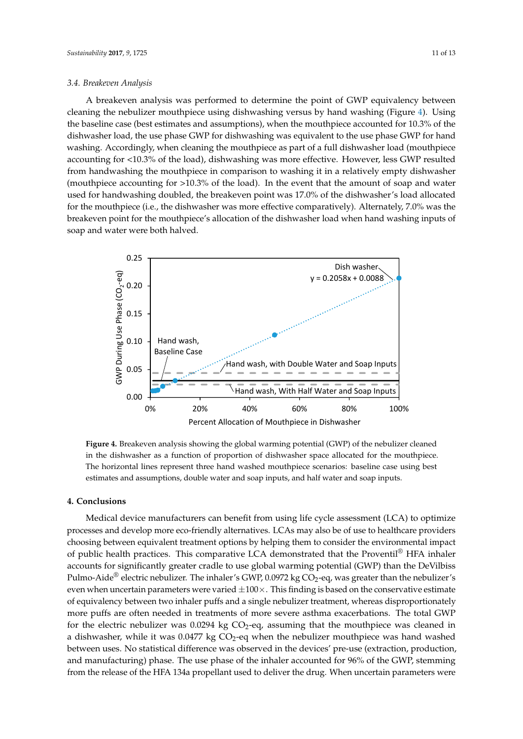#### *3.4. Breakeven Analysis*

A breakeven analysis was performed to determine the point of GWP equivalency between cleaning the nebulizer mouthpiece using dishwashing versus by hand washing (Figure [4\)](#page-10-0). Using the baseline case (best estimates and assumptions), when the mouthpiece accounted for 10.3% of the dishwasher load, the use phase GWP for dishwashing was equivalent to the use phase GWP for hand washing. Accordingly, when cleaning the mouthpiece as part of a full dishwasher load (mouthpiece accounting for <10.3% of the load), dishwashing was more effective. However, less GWP resulted from handwashing the mouthpiece in comparison to washing it in a relatively empty dishwasher (mouthpiece accounting for  $>10.3$ % of the load). In the event that the amount of soap and water used for handwashing doubled, the breakeven point was 17.0% of the dishwasher's load allocated for the mouthpiece (i.e., the dishwasher was more effective comparatively). Alternately, 7.0% was the mouthpiece (i.e., the dishwasher was more effective comparatively). Alternately, 7.0% was the breakeven point for the mouthpiece's allocation of the dishwasher load when hand washing inputs of soap and water were both halved.

<span id="page-10-0"></span>

in the dishwasher as a function of proportion of dishwasher space allocated for the mouthpiece. The horizontal lines represent three hand washed mouthpiece scenarios: baseline case using best The horizontal lines represent three hand washed mouthpiece scenarios: baseline case using best estimates and assumptions, double water and soap inputs, and half water and soap inputs. **Figure 4.** Breakeven analysis showing the global warming potential (GWP) of the nebulizer cleaned

#### **4. Conclusions**

**4. Conclusions**  processes and develop more eco-friendly alternatives. LCAs may also be of use to healthcare providers choosing between equivalent treatment options by helping them to consider the environmental impact of public health practices. This comparative LCA demonstrated that the Proventil® HFA inhaler accounts for significantly greater cradle to use global warming potential (GWP) than the DeVilbiss Pulmo-Aide® electric nebulizer. The inhaler's GWP, 0.0972 kg CO<sub>2</sub>-eq, was greater than the nebulizer's even when uncertain parameters were varied  $\pm 100\times$ . This finding is based on the conservative estimate of equivalency between two inhaler puffs and a single nebulizer treatment, whereas disproportionately more puffs are often needed in treatments of more severe asthma exacerbations. The total GWP for the electric nebulizer was 0.0294 kg  $CO<sub>2</sub>$ -eq, assuming that the mouthpiece was cleaned in a dishwasher, while it was 0.0477 kg CO<sub>2</sub>-eq when the nebulizer mouthpiece was hand washed between uses. No statistical difference was observed in the devices' pre-use (extraction, production, and manufacturing) phase. The use phase of the inhaler accounted for 96% of the GWP, stemming from the release of the HFA 134a propellant used to deliver the drug. When uncertain parameters were Medical device manufacturers can benefit from using life cycle assessment (LCA) to optimize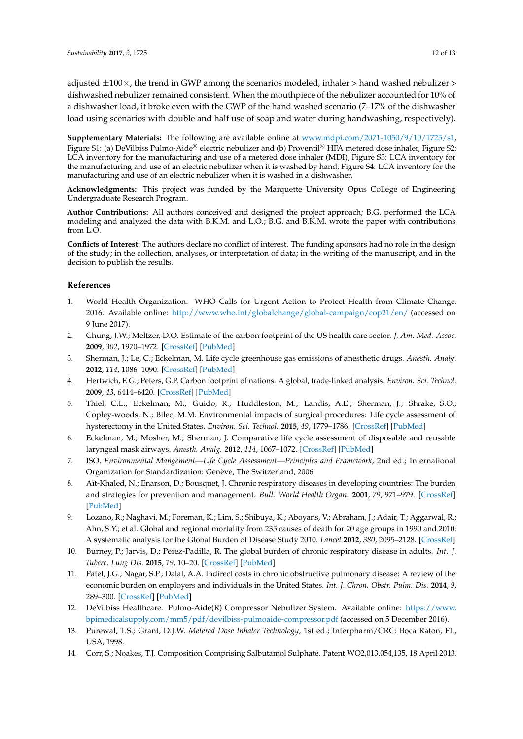adjusted  $\pm 100 \times$ , the trend in GWP among the scenarios modeled, inhaler > hand washed nebulizer > dishwashed nebulizer remained consistent. When the mouthpiece of the nebulizer accounted for 10% of a dishwasher load, it broke even with the GWP of the hand washed scenario (7–17% of the dishwasher load using scenarios with double and half use of soap and water during handwashing, respectively).

**Supplementary Materials:** The following are available online at [www.mdpi.com/2071-1050/9/10/1725/s1,](www.mdpi.com/2071-1050/9/10/1725/s1) Figure S1: (a) DeVilbiss Pulmo-Aide® electric nebulizer and (b) Proventil® HFA metered dose inhaler, Figure S2: LCA inventory for the manufacturing and use of a metered dose inhaler (MDI), Figure S3: LCA inventory for the manufacturing and use of an electric nebulizer when it is washed by hand, Figure S4: LCA inventory for the manufacturing and use of an electric nebulizer when it is washed in a dishwasher.

**Acknowledgments:** This project was funded by the Marquette University Opus College of Engineering Undergraduate Research Program.

**Author Contributions:** All authors conceived and designed the project approach; B.G. performed the LCA modeling and analyzed the data with B.K.M. and L.O.; B.G. and B.K.M. wrote the paper with contributions from L.O.

**Conflicts of Interest:** The authors declare no conflict of interest. The funding sponsors had no role in the design of the study; in the collection, analyses, or interpretation of data; in the writing of the manuscript, and in the decision to publish the results.

## **References**

- <span id="page-11-0"></span>1. World Health Organization. WHO Calls for Urgent Action to Protect Health from Climate Change. 2016. Available online: <http://www.who.int/globalchange/global-campaign/cop21/en/> (accessed on 9 June 2017).
- <span id="page-11-1"></span>2. Chung, J.W.; Meltzer, D.O. Estimate of the carbon footprint of the US health care sector. *J. Am. Med. Assoc.* **2009**, *302*, 1970–1972. [\[CrossRef\]](http://dx.doi.org/10.1001/jama.2009.1610) [\[PubMed\]](http://www.ncbi.nlm.nih.gov/pubmed/19903917)
- 3. Sherman, J.; Le, C.; Eckelman, M. Life cycle greenhouse gas emissions of anesthetic drugs. *Anesth. Analg.* **2012**, *114*, 1086–1090. [\[CrossRef\]](http://dx.doi.org/10.1213/ANE.0b013e31824f6940) [\[PubMed\]](http://www.ncbi.nlm.nih.gov/pubmed/22492186)
- <span id="page-11-2"></span>4. Hertwich, E.G.; Peters, G.P. Carbon footprint of nations: A global, trade-linked analysis. *Environ. Sci. Technol.* **2009**, *43*, 6414–6420. [\[CrossRef\]](http://dx.doi.org/10.1021/es803496a) [\[PubMed\]](http://www.ncbi.nlm.nih.gov/pubmed/19746745)
- <span id="page-11-3"></span>5. Thiel, C.L.; Eckelman, M.; Guido, R.; Huddleston, M.; Landis, A.E.; Sherman, J.; Shrake, S.O.; Copley-woods, N.; Bilec, M.M. Environmental impacts of surgical procedures: Life cycle assessment of hysterectomy in the United States. *Environ. Sci. Technol.* **2015**, *49*, 1779–1786. [\[CrossRef\]](http://dx.doi.org/10.1021/es504719g) [\[PubMed\]](http://www.ncbi.nlm.nih.gov/pubmed/25517602)
- <span id="page-11-4"></span>6. Eckelman, M.; Mosher, M.; Sherman, J. Comparative life cycle assessment of disposable and reusable laryngeal mask airways. *Anesth. Analg.* **2012**, *114*, 1067–1072. [\[CrossRef\]](http://dx.doi.org/10.1213/ANE.0b013e31824f6959) [\[PubMed\]](http://www.ncbi.nlm.nih.gov/pubmed/22492190)
- <span id="page-11-5"></span>7. ISO. *Environmental Mangement—Life Cycle Assessment—Principles and Framework*, 2nd ed.; International Organization for Standardization: Genève, The Switzerland, 2006.
- <span id="page-11-6"></span>8. Aït-Khaled, N.; Enarson, D.; Bousquet, J. Chronic respiratory diseases in developing countries: The burden and strategies for prevention and management. *Bull. World Health Organ.* **2001**, *79*, 971–979. [\[CrossRef\]](http://dx.doi.org/10.1590/S0042-96862001001000011) [\[PubMed\]](http://www.ncbi.nlm.nih.gov/pubmed/11693980)
- 9. Lozano, R.; Naghavi, M.; Foreman, K.; Lim, S.; Shibuya, K.; Aboyans, V.; Abraham, J.; Adair, T.; Aggarwal, R.; Ahn, S.Y.; et al. Global and regional mortality from 235 causes of death for 20 age groups in 1990 and 2010: A systematic analysis for the Global Burden of Disease Study 2010. *Lancet* **2012**, *380*, 2095–2128. [\[CrossRef\]](http://dx.doi.org/10.1016/S0140-6736(12)61728-0)
- <span id="page-11-7"></span>10. Burney, P.; Jarvis, D.; Perez-Padilla, R. The global burden of chronic respiratory disease in adults. *Int. J. Tuberc. Lung Dis.* **2015**, *19*, 10–20. [\[CrossRef\]](http://dx.doi.org/10.5588/ijtld.14.0446) [\[PubMed\]](http://www.ncbi.nlm.nih.gov/pubmed/25519785)
- <span id="page-11-8"></span>11. Patel, J.G.; Nagar, S.P.; Dalal, A.A. Indirect costs in chronic obstructive pulmonary disease: A review of the economic burden on employers and individuals in the United States. *Int. J. Chron. Obstr. Pulm. Dis.* **2014**, *9*, 289–300. [\[CrossRef\]](http://dx.doi.org/10.2147/COPD.S57157) [\[PubMed\]](http://www.ncbi.nlm.nih.gov/pubmed/24672234)
- <span id="page-11-9"></span>12. DeVilbiss Healthcare. Pulmo-Aide(R) Compressor Nebulizer System. Available online: [https://www.](https://www.bpimedicalsupply.com/mm5/pdf/devilbiss-pulmoaide-compressor.pdf) [bpimedicalsupply.com/mm5/pdf/devilbiss-pulmoaide-compressor.pdf](https://www.bpimedicalsupply.com/mm5/pdf/devilbiss-pulmoaide-compressor.pdf) (accessed on 5 December 2016).
- <span id="page-11-10"></span>13. Purewal, T.S.; Grant, D.J.W. *Metered Dose Inhaler Technology*, 1st ed.; Interpharm/CRC: Boca Raton, FL, USA, 1998.
- <span id="page-11-11"></span>14. Corr, S.; Noakes, T.J. Composition Comprising Salbutamol Sulphate. Patent WO2,013,054,135, 18 April 2013.